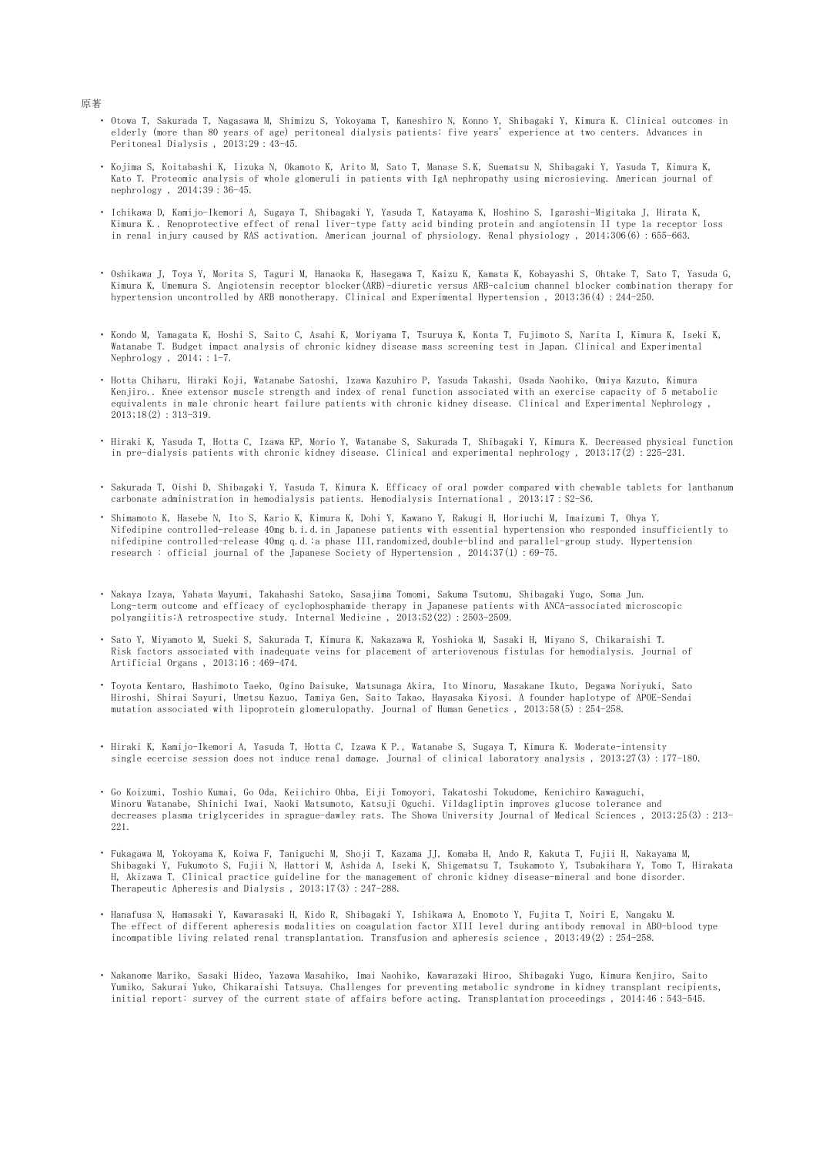- ・ Otowa T, Sakurada T, Nagasawa M, Shimizu S, Yokoyama T, Kaneshiro N, Konno Y, Shibagaki Y, Kimura K. Clinical outcomes in elderly (more than 80 years of age) peritoneal dialysis patients: five years' experience at two centers. Advances in Peritoneal Dialysis , 2013;29:43-45.
- ・ Kojima S, Koitabashi K, Iizuka N, Okamoto K, Arito M, Sato T, Manase S.K, Suematsu N, Shibagaki Y, Yasuda T, Kimura K, Kato T. Proteomic analysis of whole glomeruli in patients with IgA nephropathy using microsieving. American journal of nephrology, 2014;39:36-45.
- ・ Ichikawa D, Kamijo-Ikemori A, Sugaya T, Shibagaki Y, Yasuda T, Katayama K, Hoshino S, Igarashi-Migitaka J, Hirata K, Kimura K.. Renoprotective effect of renal liver-type fatty acid binding protein and angiotensin II type 1a receptor loss in renal injury caused by RAS activation. American journal of physiology. Renal physiology , 2014;306(6):655-663.
- ・ Oshikawa J, Toya Y, Morita S, Taguri M, Hanaoka K, Hasegawa T, Kaizu K, Kamata K, Kobayashi S, Ohtake T, Sato T, Yasuda G, Kimura K, Umemura S. Angiotensin receptor blocker(ARB)-diuretic versus ARB-calcium channel blocker combination therapy for hypertension uncontrolled by ARB monotherapy. Clinical and Experimental Hypertension , 2013;36(4):244-250.
- ・ Kondo M, Yamagata K, Hoshi S, Saito C, Asahi K, Moriyama T, Tsuruya K, Konta T, Fujimoto S, Narita I, Kimura K, Iseki K, Watanabe T. Budget impact analysis of chronic kidney disease mass screening test in Japan. Clinical and Experimental Nephrology ,  $2014$ ;  $1-7$ .
- ・ Hotta Chiharu, Hiraki Koji, Watanabe Satoshi, Izawa Kazuhiro P, Yasuda Takashi, Osada Naohiko, Omiya Kazuto, Kimura Kenjiro.. Knee extensor muscle strength and index of renal function associated with an exercise capacity of 5 metabolic equivalents in male chronic heart failure patients with chronic kidney disease. Clinical and Experimental Nephrology ,  $2013$ ;  $18(2)$ :  $313-319$ .
- ・ Hiraki K, Yasuda T, Hotta C, Izawa KP, Morio Y, Watanabe S, Sakurada T, Shibagaki Y, Kimura K. Decreased physical function in pre-dialysis patients with chronic kidney disease. Clinical and experimental nephrology , 2013;17(2):225-231.
- ・ Sakurada T, Oishi D, Shibagaki Y, Yasuda T, Kimura K. Efficacy of oral powder compared with chewable tablets for lanthanum carbonate administration in hemodialysis patients. Hemodialysis International , 2013;17:S2-S6.
- ・ Shimamoto K, Hasebe N, Ito S, Kario K, Kimura K, Dohi Y, Kawano Y, Rakugi H, Horiuchi M, Imaizumi T, Ohya Y. Nifedipine controlled-release 40mg b.i.d.in Japanese patients with essential hypertension who responded insufficiently to nifedipine controlled-release 40mg q.d.:a phase III,randomized,double-blind and parallel-group study. Hypertension research : official journal of the Japanese Society of Hypertension , 2014;37(1):69-75.
- ・ Nakaya Izaya, Yahata Mayumi, Takahashi Satoko, Sasajima Tomomi, Sakuma Tsutomu, Shibagaki Yugo, Soma Jun. Long-term outcome and efficacy of cyclophosphamide therapy in Japanese patients with ANCA-associated microscopic polyangiitis:A retrospective study. Internal Medicine , 2013;52(22):2503-2509.
- ・ Sato Y, Miyamoto M, Sueki S, Sakurada T, Kimura K, Nakazawa R, Yoshioka M, Sasaki H, Miyano S, Chikaraishi T. Risk factors associated with inadequate veins for placement of arteriovenous fistulas for hemodialysis. Journal of Artificial Organs , 2013;16:469-474.
- ・ Toyota Kentaro, Hashimoto Taeko, Ogino Daisuke, Matsunaga Akira, Ito Minoru, Masakane Ikuto, Degawa Noriyuki, Sato Hiroshi, Shirai Sayuri, Umetsu Kazuo, Tamiya Gen, Saito Takao, Hayasaka Kiyosi. A founder haplotype of APOE-Sendai mutation associated with lipoprotein glomerulopathy. Journal of Human Genetics , 2013;58(5):254-258.
- ・ Hiraki K, Kamijo-Ikemori A, Yasuda T, Hotta C, Izawa K P., Watanabe S, Sugaya T, Kimura K. Moderate-intensity single ecercise session does not induce renal damage. Journal of clinical laboratory analysis , 2013;27(3):177-180.
- ・ Go Koizumi, Toshio Kumai, Go Oda, Keiichiro Ohba, Eiji Tomoyori, Takatoshi Tokudome, Kenichiro Kawaguchi, Minoru Watanabe, Shinichi Iwai, Naoki Matsumoto, Katsuji Oguchi. Vildagliptin improves glucose tolerance and decreases plasma triglycerides in sprague-dawley rats. The Showa University Journal of Medical Sciences , 2013;25(3):213- 221.
- ・ Fukagawa M, Yokoyama K, Koiwa F, Taniguchi M, Shoji T, Kazama JJ, Komaba H, Ando R, Kakuta T, Fujii H, Nakayama M, Shibagaki Y, Fukumoto S, Fujii N, Hattori M, Ashida A, Iseki K, Shigematsu T, Tsukamoto Y, Tsubakihara Y, Tomo T, Hirakata H, Akizawa T. Clinical practice guideline for the management of chronic kidney disease-mineral and bone disorder. Therapeutic Apheresis and Dialysis , 2013;17(3):247-288.
- ・ Hanafusa N, Hamasaki Y, Kawarasaki H, Kido R, Shibagaki Y, Ishikawa A, Enomoto Y, Fujita T, Noiri E, Nangaku M. The effect of different apheresis modalities on coagulation factor XIII level during antibody removal in ABO-blood type incompatible living related renal transplantation. Transfusion and apheresis science, 2013;49(2): 254-258.
- ・ Nakanome Mariko, Sasaki Hideo, Yazawa Masahiko, Imai Naohiko, Kawarazaki Hiroo, Shibagaki Yugo, Kimura Kenjiro, Saito Yumiko, Sakurai Yuko, Chikaraishi Tatsuya. Challenges for preventing metabolic syndrome in kidney transplant recipients, initial report: survey of the current state of affairs before acting. Transplantation proceedings , 2014;46:543-545.

## 原著